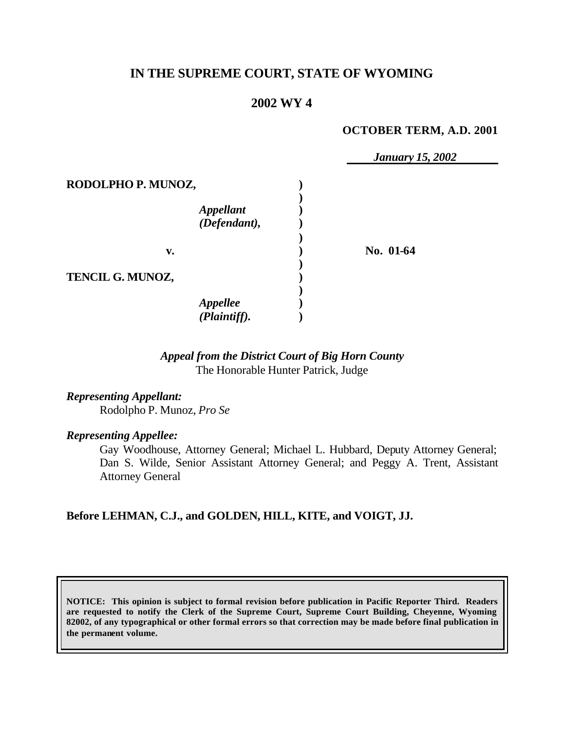# **IN THE SUPREME COURT, STATE OF WYOMING**

## **2002 WY 4**

#### **OCTOBER TERM, A.D. 2001**

|                    |                                         | <b>January 15, 2002</b> |
|--------------------|-----------------------------------------|-------------------------|
| RODOLPHO P. MUNOZ, |                                         |                         |
|                    | <i><b>Appellant</b></i><br>(Defendant), |                         |
| v.                 |                                         | No. 01-64               |
| TENCIL G. MUNOZ,   |                                         |                         |
|                    | <b>Appellee</b><br>(Plaintiff).         |                         |

### *Appeal from the District Court of Big Horn County* The Honorable Hunter Patrick, Judge

*Representing Appellant:* Rodolpho P. Munoz, *Pro Se*

#### *Representing Appellee:*

Gay Woodhouse, Attorney General; Michael L. Hubbard, Deputy Attorney General; Dan S. Wilde, Senior Assistant Attorney General; and Peggy A. Trent, Assistant Attorney General

### **Before LEHMAN, C.J., and GOLDEN, HILL, KITE, and VOIGT, JJ.**

**NOTICE: This opinion is subject to formal revision before publication in Pacific Reporter Third. Readers are requested to notify the Clerk of the Supreme Court, Supreme Court Building, Cheyenne, Wyoming 82002, of any typographical or other formal errors so that correction may be made before final publication in the permanent volume.**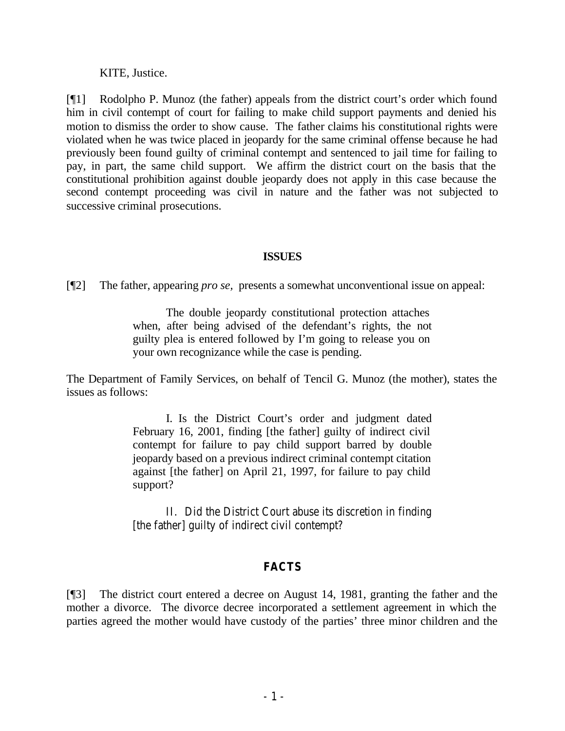KITE, Justice.

[¶1] Rodolpho P. Munoz (the father) appeals from the district court's order which found him in civil contempt of court for failing to make child support payments and denied his motion to dismiss the order to show cause. The father claims his constitutional rights were violated when he was twice placed in jeopardy for the same criminal offense because he had previously been found guilty of criminal contempt and sentenced to jail time for failing to pay, in part, the same child support. We affirm the district court on the basis that the constitutional prohibition against double jeopardy does not apply in this case because the second contempt proceeding was civil in nature and the father was not subjected to successive criminal prosecutions.

### **ISSUES**

[¶2] The father, appearing *pro se,* presents a somewhat unconventional issue on appeal:

The double jeopardy constitutional protection attaches when, after being advised of the defendant's rights, the not guilty plea is entered followed by I'm going to release you on your own recognizance while the case is pending.

The Department of Family Services, on behalf of Tencil G. Munoz (the mother), states the issues as follows:

> I. Is the District Court's order and judgment dated February 16, 2001, finding [the father] guilty of indirect civil contempt for failure to pay child support barred by double jeopardy based on a previous indirect criminal contempt citation against [the father] on April 21, 1997, for failure to pay child support?

> II. Did the District Court abuse its discretion in finding [the father] guilty of indirect civil contempt?

## **FACTS**

[¶3] The district court entered a decree on August 14, 1981, granting the father and the mother a divorce. The divorce decree incorporated a settlement agreement in which the parties agreed the mother would have custody of the parties' three minor children and the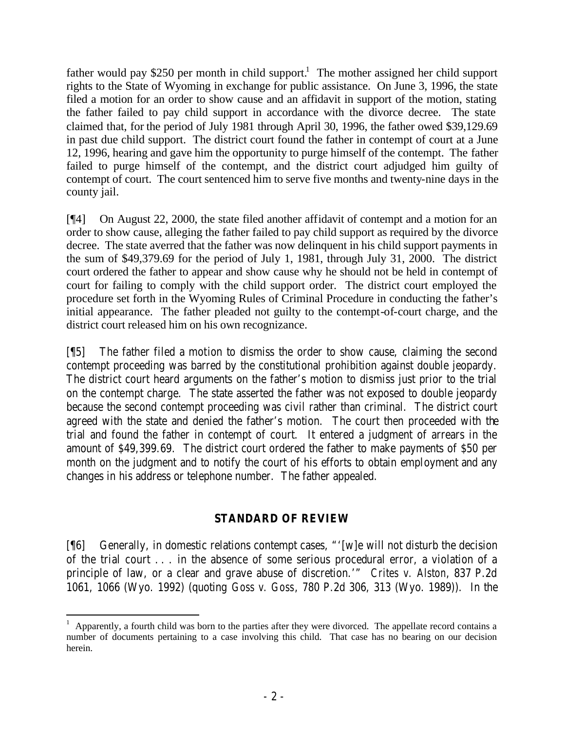father would pay \$250 per month in child support.<sup>1</sup> The mother assigned her child support rights to the State of Wyoming in exchange for public assistance. On June 3, 1996, the state filed a motion for an order to show cause and an affidavit in support of the motion, stating the father failed to pay child support in accordance with the divorce decree. The state claimed that, for the period of July 1981 through April 30, 1996, the father owed \$39,129.69 in past due child support. The district court found the father in contempt of court at a June 12, 1996, hearing and gave him the opportunity to purge himself of the contempt. The father failed to purge himself of the contempt, and the district court adjudged him guilty of contempt of court. The court sentenced him to serve five months and twenty-nine days in the county jail.

[¶4] On August 22, 2000, the state filed another affidavit of contempt and a motion for an order to show cause, alleging the father failed to pay child support as required by the divorce decree. The state averred that the father was now delinquent in his child support payments in the sum of \$49,379.69 for the period of July 1, 1981, through July 31, 2000. The district court ordered the father to appear and show cause why he should not be held in contempt of court for failing to comply with the child support order. The district court employed the procedure set forth in the Wyoming Rules of Criminal Procedure in conducting the father's initial appearance. The father pleaded not guilty to the contempt-of-court charge, and the district court released him on his own recognizance.

[¶5] The father filed a motion to dismiss the order to show cause, claiming the second contempt proceeding was barred by the constitutional prohibition against double jeopardy. The district court heard arguments on the father's motion to dismiss just prior to the trial on the contempt charge. The state asserted the father was not exposed to double jeopardy because the second contempt proceeding was civil rather than criminal. The district court agreed with the state and denied the father's motion. The court then proceeded with the trial and found the father in contempt of court. It entered a judgment of arrears in the amount of \$49,399.69. The district court ordered the father to make payments of \$50 per month on the judgment and to notify the court of his efforts to obtain employment and any changes in his address or telephone number. The father appealed.

## **STANDARD OF REVIEW**

[¶6] Generally, in domestic relations contempt cases, "'[w]e will not disturb the decision of the trial court . . . in the absence of some serious procedural error, a violation of a principle of law, or a clear and grave abuse of discretion.'" *Crites v. Alston*, 837 P.2d 1061, 1066 (Wyo. 1992) (quoting *Goss v. Goss*, 780 P.2d 306, 313 (Wyo. 1989)). In the

<sup>1</sup> Apparently, a fourth child was born to the parties after they were divorced. The appellate record contains a number of documents pertaining to a case involving this child. That case has no bearing on our decision herein.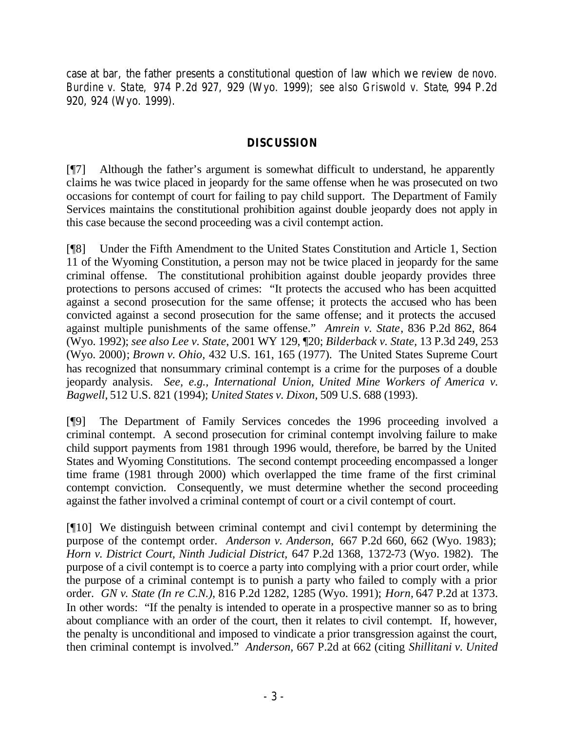case at bar, the father presents a constitutional question of law which we review *de novo. Burdine v. State,* 974 P.2d 927, 929 (Wyo. 1999); *see also Griswold v. State*, 994 P.2d 920, 924 (Wyo. 1999).

### **DISCUSSION**

[¶7] Although the father's argument is somewhat difficult to understand, he apparently claims he was twice placed in jeopardy for the same offense when he was prosecuted on two occasions for contempt of court for failing to pay child support. The Department of Family Services maintains the constitutional prohibition against double jeopardy does not apply in this case because the second proceeding was a civil contempt action.

[¶8] Under the Fifth Amendment to the United States Constitution and Article 1, Section 11 of the Wyoming Constitution, a person may not be twice placed in jeopardy for the same criminal offense. The constitutional prohibition against double jeopardy provides three protections to persons accused of crimes: "It protects the accused who has been acquitted against a second prosecution for the same offense; it protects the accused who has been convicted against a second prosecution for the same offense; and it protects the accused against multiple punishments of the same offense." *Amrein v. State*, 836 P.2d 862, 864 (Wyo. 1992); *see also Lee v. State*, 2001 WY 129, ¶20; *Bilderback v. State,* 13 P.3d 249, 253 (Wyo. 2000); *Brown v. Ohio,* 432 U.S. 161, 165 (1977). The United States Supreme Court has recognized that nonsummary criminal contempt is a crime for the purposes of a double jeopardy analysis. *See, e.g., International Union, United Mine Workers of America v. Bagwell,* 512 U.S. 821 (1994); *United States v. Dixon,* 509 U.S. 688 (1993).

[¶9] The Department of Family Services concedes the 1996 proceeding involved a criminal contempt. A second prosecution for criminal contempt involving failure to make child support payments from 1981 through 1996 would, therefore, be barred by the United States and Wyoming Constitutions. The second contempt proceeding encompassed a longer time frame (1981 through 2000) which overlapped the time frame of the first criminal contempt conviction. Consequently, we must determine whether the second proceeding against the father involved a criminal contempt of court or a civil contempt of court.

[¶10] We distinguish between criminal contempt and civil contempt by determining the purpose of the contempt order. *Anderson v. Anderson,* 667 P.2d 660, 662 (Wyo. 1983); *Horn v. District Court, Ninth Judicial District,* 647 P.2d 1368, 1372-73 (Wyo. 1982). The purpose of a civil contempt is to coerce a party into complying with a prior court order, while the purpose of a criminal contempt is to punish a party who failed to comply with a prior order. *GN v. State (In re C.N.)*, 816 P.2d 1282, 1285 (Wyo. 1991); *Horn,* 647 P.2d at 1373. In other words: "If the penalty is intended to operate in a prospective manner so as to bring about compliance with an order of the court, then it relates to civil contempt. If, however, the penalty is unconditional and imposed to vindicate a prior transgression against the court, then criminal contempt is involved." *Anderson,* 667 P.2d at 662 (citing *Shillitani v. United*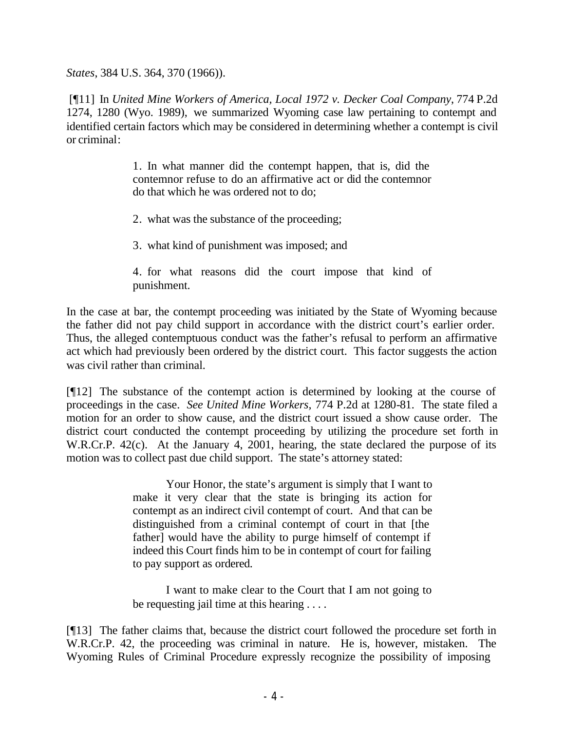*States*, 384 U.S. 364, 370 (1966)).

 [¶11] In *United Mine Workers of America, Local 1972 v. Decker Coal Company*, 774 P.2d 1274, 1280 (Wyo. 1989), we summarized Wyoming case law pertaining to contempt and identified certain factors which may be considered in determining whether a contempt is civil or criminal:

> 1. In what manner did the contempt happen, that is, did the contemnor refuse to do an affirmative act or did the contemnor do that which he was ordered not to do;

2. what was the substance of the proceeding;

3. what kind of punishment was imposed; and

4. for what reasons did the court impose that kind of punishment.

In the case at bar, the contempt proceeding was initiated by the State of Wyoming because the father did not pay child support in accordance with the district court's earlier order. Thus, the alleged contemptuous conduct was the father's refusal to perform an affirmative act which had previously been ordered by the district court. This factor suggests the action was civil rather than criminal.

[¶12] The substance of the contempt action is determined by looking at the course of proceedings in the case. *See United Mine Workers,* 774 P.2d at 1280-81. The state filed a motion for an order to show cause, and the district court issued a show cause order. The district court conducted the contempt proceeding by utilizing the procedure set forth in W.R.Cr.P. 42(c). At the January 4, 2001, hearing, the state declared the purpose of its motion was to collect past due child support. The state's attorney stated:

> Your Honor, the state's argument is simply that I want to make it very clear that the state is bringing its action for contempt as an indirect civil contempt of court. And that can be distinguished from a criminal contempt of court in that [the father] would have the ability to purge himself of contempt if indeed this Court finds him to be in contempt of court for failing to pay support as ordered.

> I want to make clear to the Court that I am not going to be requesting jail time at this hearing . . . .

[¶13] The father claims that, because the district court followed the procedure set forth in W.R.Cr.P. 42, the proceeding was criminal in nature. He is, however, mistaken. The Wyoming Rules of Criminal Procedure expressly recognize the possibility of imposing